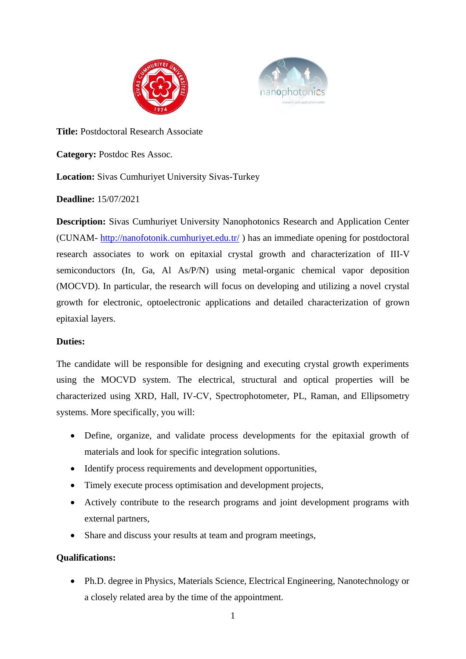



**Title:** Postdoctoral Research Associate

**Category:** Postdoc Res Assoc.

# **Location:** Sivas Cumhuriyet University Sivas-Turkey

**Deadline:** 15/07/2021

**Description:** Sivas Cumhuriyet University Nanophotonics Research and Application Center (CUNAM- <http://nanofotonik.cumhuriyet.edu.tr/> ) has an immediate opening for postdoctoral research associates to work on epitaxial crystal growth and characterization of III-V semiconductors (In, Ga, Al As/P/N) using metal-organic chemical vapor deposition (MOCVD). In particular, the research will focus on developing and utilizing a novel crystal growth for electronic, optoelectronic applications and detailed characterization of grown epitaxial layers.

## **Duties:**

The candidate will be responsible for designing and executing crystal growth experiments using the MOCVD system. The electrical, structural and optical properties will be characterized using XRD, Hall, IV-CV, Spectrophotometer, PL, Raman, and Ellipsometry systems. More specifically, you will:

- Define, organize, and validate process developments for the epitaxial growth of materials and look for specific integration solutions.
- Identify process requirements and development opportunities,
- Timely execute process optimisation and development projects,
- Actively contribute to the research programs and joint development programs with external partners,
- Share and discuss your results at team and program meetings,

## **Qualifications:**

• Ph.D. degree in Physics, Materials Science, Electrical Engineering, Nanotechnology or a closely related area by the time of the appointment.